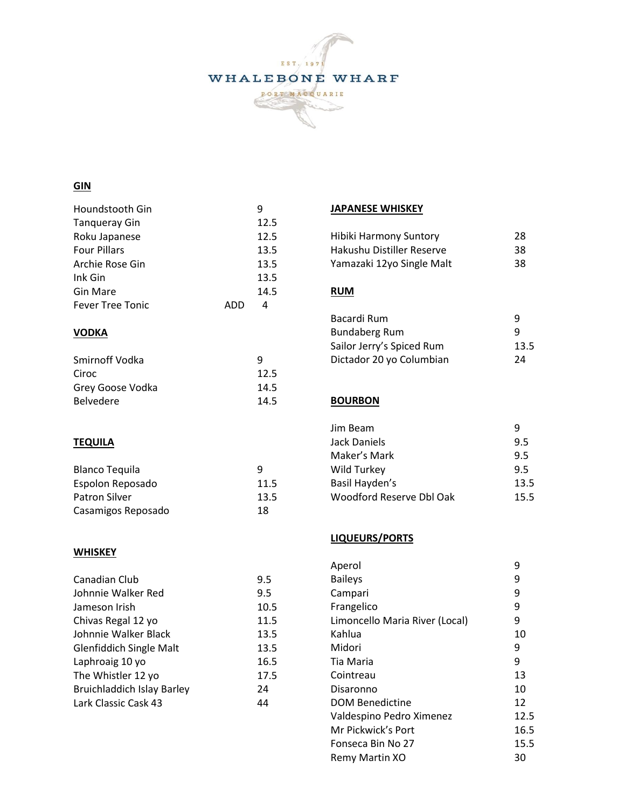

# **GIN**

| Houndstooth Gin         |     | g    |
|-------------------------|-----|------|
| Tanqueray Gin           |     | 12.5 |
| Roku Japanese           |     | 12.5 |
| <b>Four Pillars</b>     |     | 13.5 |
| Archie Rose Gin         |     | 13.5 |
| Ink Gin                 |     | 13.5 |
| Gin Mare                |     | 14.5 |
| <b>Fever Tree Tonic</b> | ADD | 4    |
|                         |     |      |

## **VODKA**

| Smirnoff Vodka   | q    |
|------------------|------|
| Ciroc            | 12.5 |
| Grey Goose Vodka | 14.5 |
| <b>Belvedere</b> | 14.5 |

## **TEQUILA**

| <b>Blanco Tequila</b> | q    |
|-----------------------|------|
| Espolon Reposado      | 11.5 |
| <b>Patron Silver</b>  | 13.5 |
| Casamigos Reposado    | 18   |

#### **WHISKEY**

| Canadian Club                     | 9.5  |
|-----------------------------------|------|
| Johnnie Walker Red                | 9.5  |
| Jameson Irish                     | 10.5 |
| Chivas Regal 12 yo                | 11.5 |
| Johnnie Walker Black              | 13.5 |
| <b>Glenfiddich Single Malt</b>    | 13.5 |
| Laphroaig 10 yo                   | 16.5 |
| The Whistler 12 yo                | 17.5 |
| <b>Bruichladdich Islay Barley</b> | 24   |
| Lark Classic Cask 43              | 44   |

### **JAPANESE WHISKEY**

| Hibiki Harmony Suntory    | 28 |
|---------------------------|----|
| Hakushu Distiller Reserve | 38 |
| Yamazaki 12yo Single Malt | 38 |

#### **RUM**

| Bacardi Rum               | q    |
|---------------------------|------|
| <b>Bundaberg Rum</b>      | q    |
| Sailor Jerry's Spiced Rum | 13.5 |
| Dictador 20 yo Columbian  | 24   |

### **BOURBON**

| Jim Beam                 | q    |
|--------------------------|------|
| Jack Daniels             | 9.5  |
| Maker's Mark             | 9.5  |
| Wild Turkey              | 9.5  |
| Basil Hayden's           | 13.5 |
| Woodford Reserve Dbl Oak | 15.5 |

### **LIQUEURS/PORTS**

| Aperol                         | 9    |
|--------------------------------|------|
| <b>Baileys</b>                 | 9    |
| Campari                        | 9    |
| Frangelico                     | 9    |
| Limoncello Maria River (Local) | 9    |
| Kahlua                         | 10   |
| Midori                         | 9    |
| Tia Maria                      | 9    |
| Cointreau                      | 13   |
| Disaronno                      | 10   |
| <b>DOM Benedictine</b>         | 12   |
| Valdespino Pedro Ximenez       | 12.5 |
| Mr Pickwick's Port             | 16.5 |
| Fonseca Bin No 27              | 15.5 |
| Remy Martin XO                 | 30   |
|                                |      |